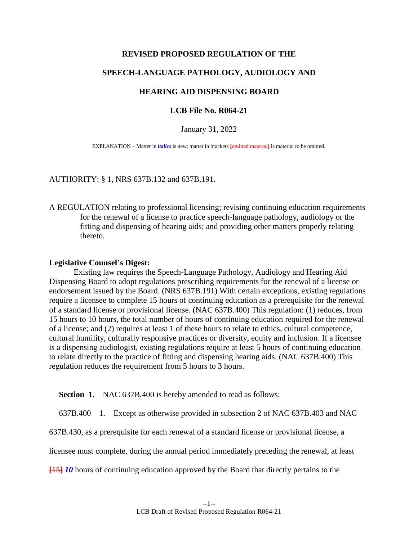## **REVISED PROPOSED REGULATION OF THE**

# **SPEECH-LANGUAGE PATHOLOGY, AUDIOLOGY AND**

## **HEARING AID DISPENSING BOARD**

## **LCB File No. R064-21**

January 31, 2022

EXPLANATION – Matter in *italics* is new; matter in brackets **[**omitted material**]** is material to be omitted.

#### AUTHORITY: § 1, NRS 637B.132 and 637B.191.

A REGULATION relating to professional licensing; revising continuing education requirements for the renewal of a license to practice speech-language pathology, audiology or the fitting and dispensing of hearing aids; and providing other matters properly relating thereto.

#### **Legislative Counsel's Digest:**

Existing law requires the Speech-Language Pathology, Audiology and Hearing Aid Dispensing Board to adopt regulations prescribing requirements for the renewal of a license or endorsement issued by the Board. (NRS 637B.191) With certain exceptions, existing regulations require a licensee to complete 15 hours of continuing education as a prerequisite for the renewal of a standard license or provisional license. (NAC 637B.400) This regulation: (1) reduces, from 15 hours to 10 hours, the total number of hours of continuing education required for the renewal of a license; and (2) requires at least 1 of these hours to relate to ethics, cultural competence, cultural humility, culturally responsive practices or diversity, equity and inclusion. If a licensee is a dispensing audiologist, existing regulations require at least 5 hours of continuing education to relate directly to the practice of fitting and dispensing hearing aids. (NAC 637B.400) This regulation reduces the requirement from 5 hours to 3 hours.

**Section 1.** NAC 637B.400 is hereby amended to read as follows:

637B.400 1. Except as otherwise provided in subsection 2 of NAC 637B.403 and NAC

637B.430, as a prerequisite for each renewal of a standard license or provisional license, a

licensee must complete, during the annual period immediately preceding the renewal, at least

**[**15**]** *10* hours of continuing education approved by the Board that directly pertains to the